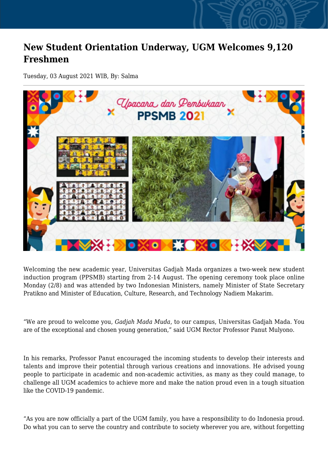## **New Student Orientation Underway, UGM Welcomes 9,120 Freshmen**

Tuesday, 03 August 2021 WIB, By: Salma



Welcoming the new academic year, Universitas Gadjah Mada organizes a two-week new student induction program (PPSMB) starting from 2-14 August. The opening ceremony took place online Monday (2/8) and was attended by two Indonesian Ministers, namely Minister of State Secretary Pratikno and Minister of Education, Culture, Research, and Technology Nadiem Makarim.

"We are proud to welcome you, *Gadjah Mada Muda*, to our campus, Universitas Gadjah Mada. You are of the exceptional and chosen young generation," said UGM Rector Professor Panut Mulyono.

In his remarks, Professor Panut encouraged the incoming students to develop their interests and talents and improve their potential through various creations and innovations. He advised young people to participate in academic and non-academic activities, as many as they could manage, to challenge all UGM academics to achieve more and make the nation proud even in a tough situation like the COVID-19 pandemic.

"As you are now officially a part of the UGM family, you have a responsibility to do Indonesia proud. Do what you can to serve the country and contribute to society wherever you are, without forgetting